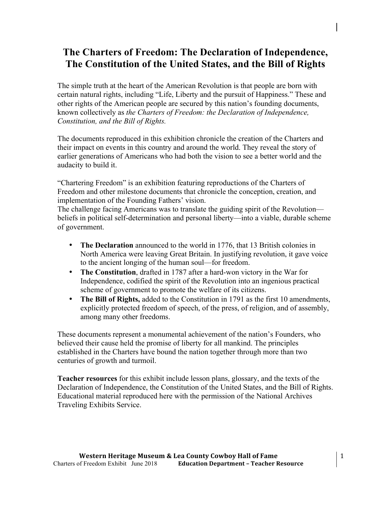# **The Charters of Freedom: The Declaration of Independence, The Constitution of the United States, and the Bill of Rights**

The simple truth at the heart of the American Revolution is that people are born with certain natural rights, including "Life, Liberty and the pursuit of Happiness." These and other rights of the American people are secured by this nation's founding documents, known collectively as *the Charters of Freedom: the Declaration of Independence, Constitution, and the Bill of Rights.* 

The documents reproduced in this exhibition chronicle the creation of the Charters and their impact on events in this country and around the world. They reveal the story of earlier generations of Americans who had both the vision to see a better world and the audacity to build it.

"Chartering Freedom" is an exhibition featuring reproductions of the Charters of Freedom and other milestone documents that chronicle the conception, creation, and implementation of the Founding Fathers' vision.

The challenge facing Americans was to translate the guiding spirit of the Revolution beliefs in political self-determination and personal liberty—into a viable, durable scheme of government.

- **The Declaration** announced to the world in 1776, that 13 British colonies in North America were leaving Great Britain. In justifying revolution, it gave voice to the ancient longing of the human soul—for freedom.
- **The Constitution**, drafted in 1787 after a hard-won victory in the War for Independence, codified the spirit of the Revolution into an ingenious practical scheme of government to promote the welfare of its citizens.
- **The Bill of Rights,** added to the Constitution in 1791 as the first 10 amendments, explicitly protected freedom of speech, of the press, of religion, and of assembly, among many other freedoms.

These documents represent a monumental achievement of the nation's Founders, who believed their cause held the promise of liberty for all mankind. The principles established in the Charters have bound the nation together through more than two centuries of growth and turmoil.

**Teacher resources** for this exhibit include lesson plans, glossary, and the texts of the Declaration of Independence, the Constitution of the United States, and the Bill of Rights. Educational material reproduced here with the permission of the National Archives Traveling Exhibits Service.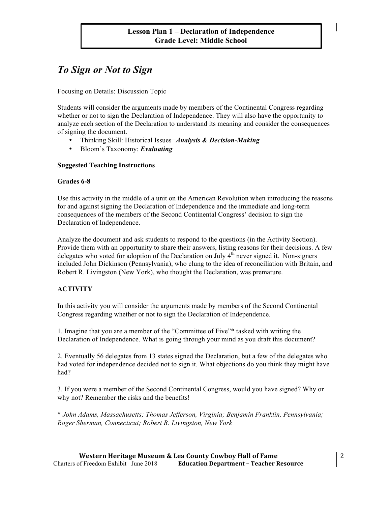# *To Sign or Not to Sign*

Focusing on Details: Discussion Topic

Students will consider the arguments made by members of the Continental Congress regarding whether or not to sign the Declaration of Independence. They will also have the opportunity to analyze each section of the Declaration to understand its meaning and consider the consequences of signing the document.

- Thinking Skill: Historical Issues*−Analysis & Decision-Making*
- Bloom's Taxonomy: *Evaluating*

### **Suggested Teaching Instructions**

### **Grades 6-8**

Use this activity in the middle of a unit on the American Revolution when introducing the reasons for and against signing the Declaration of Independence and the immediate and long-term consequences of the members of the Second Continental Congress' decision to sign the Declaration of Independence.

Analyze the document and ask students to respond to the questions (in the Activity Section). Provide them with an opportunity to share their answers, listing reasons for their decisions. A few delegates who voted for adoption of the Declaration on July  $4<sup>th</sup>$  never signed it. Non-signers included John Dickinson (Pennsylvania), who clung to the idea of reconciliation with Britain, and Robert R. Livingston (New York), who thought the Declaration, was premature.

### **ACTIVITY**

In this activity you will consider the arguments made by members of the Second Continental Congress regarding whether or not to sign the Declaration of Independence.

1. Imagine that you are a member of the "Committee of Five"\* tasked with writing the Declaration of Independence. What is going through your mind as you draft this document?

2. Eventually 56 delegates from 13 states signed the Declaration, but a few of the delegates who had voted for independence decided not to sign it. What objections do you think they might have had?

3. If you were a member of the Second Continental Congress, would you have signed? Why or why not? Remember the risks and the benefits!

\* *John Adams, Massachusetts; Thomas Jefferson, Virginia; Benjamin Franklin, Pennsylvania; Roger Sherman, Connecticut; Robert R. Livingston, New York*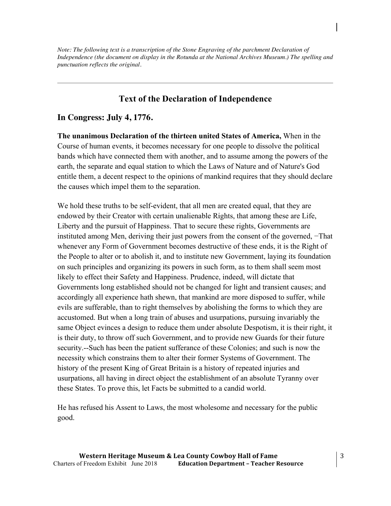*Note: The following text is a transcription of the Stone Engraving of the parchment Declaration of Independence (the document on display in the Rotunda at the National Archives Museum.) The spelling and punctuation reflects the original.*

# **Text of the Declaration of Independence**

### **In Congress: July 4, 1776.**

**The unanimous Declaration of the thirteen united States of America,** When in the Course of human events, it becomes necessary for one people to dissolve the political bands which have connected them with another, and to assume among the powers of the earth, the separate and equal station to which the Laws of Nature and of Nature's God entitle them, a decent respect to the opinions of mankind requires that they should declare the causes which impel them to the separation.

We hold these truths to be self-evident, that all men are created equal, that they are endowed by their Creator with certain unalienable Rights, that among these are Life, Liberty and the pursuit of Happiness. That to secure these rights, Governments are instituted among Men, deriving their just powers from the consent of the governed, −That whenever any Form of Government becomes destructive of these ends, it is the Right of the People to alter or to abolish it, and to institute new Government, laying its foundation on such principles and organizing its powers in such form, as to them shall seem most likely to effect their Safety and Happiness. Prudence, indeed, will dictate that Governments long established should not be changed for light and transient causes; and accordingly all experience hath shewn, that mankind are more disposed to suffer, while evils are sufferable, than to right themselves by abolishing the forms to which they are accustomed. But when a long train of abuses and usurpations, pursuing invariably the same Object evinces a design to reduce them under absolute Despotism, it is their right, it is their duty, to throw off such Government, and to provide new Guards for their future security.--Such has been the patient sufferance of these Colonies; and such is now the necessity which constrains them to alter their former Systems of Government. The history of the present King of Great Britain is a history of repeated injuries and usurpations, all having in direct object the establishment of an absolute Tyranny over these States. To prove this, let Facts be submitted to a candid world.

He has refused his Assent to Laws, the most wholesome and necessary for the public good.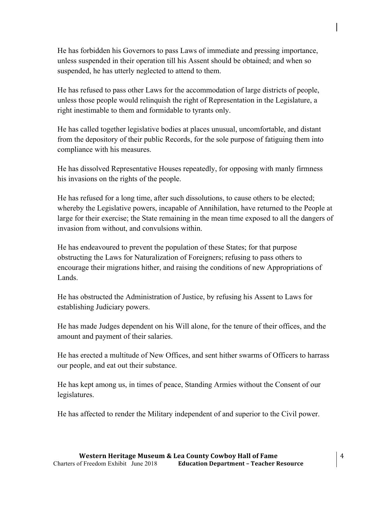He has forbidden his Governors to pass Laws of immediate and pressing importance, unless suspended in their operation till his Assent should be obtained; and when so suspended, he has utterly neglected to attend to them.

He has refused to pass other Laws for the accommodation of large districts of people, unless those people would relinquish the right of Representation in the Legislature, a right inestimable to them and formidable to tyrants only.

He has called together legislative bodies at places unusual, uncomfortable, and distant from the depository of their public Records, for the sole purpose of fatiguing them into compliance with his measures.

He has dissolved Representative Houses repeatedly, for opposing with manly firmness his invasions on the rights of the people.

He has refused for a long time, after such dissolutions, to cause others to be elected; whereby the Legislative powers, incapable of Annihilation, have returned to the People at large for their exercise; the State remaining in the mean time exposed to all the dangers of invasion from without, and convulsions within.

He has endeavoured to prevent the population of these States; for that purpose obstructing the Laws for Naturalization of Foreigners; refusing to pass others to encourage their migrations hither, and raising the conditions of new Appropriations of Lands.

He has obstructed the Administration of Justice, by refusing his Assent to Laws for establishing Judiciary powers.

He has made Judges dependent on his Will alone, for the tenure of their offices, and the amount and payment of their salaries.

He has erected a multitude of New Offices, and sent hither swarms of Officers to harrass our people, and eat out their substance.

He has kept among us, in times of peace, Standing Armies without the Consent of our legislatures.

He has affected to render the Military independent of and superior to the Civil power.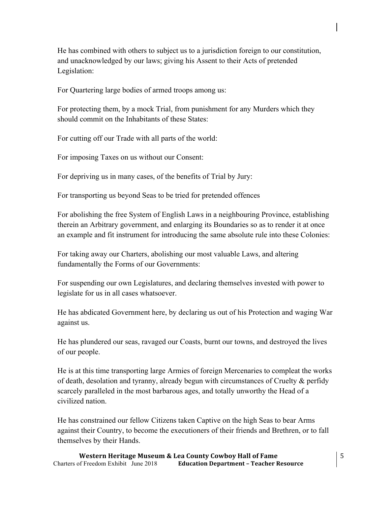He has combined with others to subject us to a jurisdiction foreign to our constitution, and unacknowledged by our laws; giving his Assent to their Acts of pretended Legislation:

For Quartering large bodies of armed troops among us:

For protecting them, by a mock Trial, from punishment for any Murders which they should commit on the Inhabitants of these States:

For cutting off our Trade with all parts of the world:

For imposing Taxes on us without our Consent:

For depriving us in many cases, of the benefits of Trial by Jury:

For transporting us beyond Seas to be tried for pretended offences

For abolishing the free System of English Laws in a neighbouring Province, establishing therein an Arbitrary government, and enlarging its Boundaries so as to render it at once an example and fit instrument for introducing the same absolute rule into these Colonies:

For taking away our Charters, abolishing our most valuable Laws, and altering fundamentally the Forms of our Governments:

For suspending our own Legislatures, and declaring themselves invested with power to legislate for us in all cases whatsoever.

He has abdicated Government here, by declaring us out of his Protection and waging War against us.

He has plundered our seas, ravaged our Coasts, burnt our towns, and destroyed the lives of our people.

He is at this time transporting large Armies of foreign Mercenaries to compleat the works of death, desolation and tyranny, already begun with circumstances of Cruelty  $\&$  perfidy scarcely paralleled in the most barbarous ages, and totally unworthy the Head of a civilized nation.

He has constrained our fellow Citizens taken Captive on the high Seas to bear Arms against their Country, to become the executioners of their friends and Brethren, or to fall themselves by their Hands.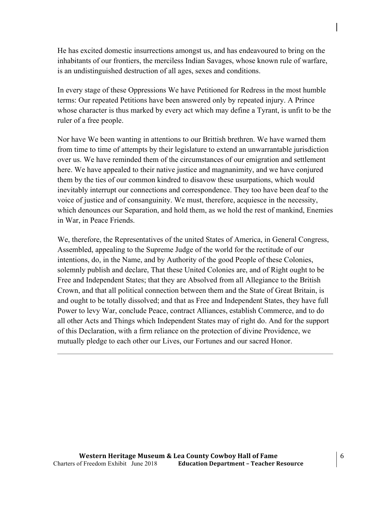He has excited domestic insurrections amongst us, and has endeavoured to bring on the inhabitants of our frontiers, the merciless Indian Savages, whose known rule of warfare, is an undistinguished destruction of all ages, sexes and conditions.

In every stage of these Oppressions We have Petitioned for Redress in the most humble terms: Our repeated Petitions have been answered only by repeated injury. A Prince whose character is thus marked by every act which may define a Tyrant, is unfit to be the ruler of a free people.

Nor have We been wanting in attentions to our Brittish brethren. We have warned them from time to time of attempts by their legislature to extend an unwarrantable jurisdiction over us. We have reminded them of the circumstances of our emigration and settlement here. We have appealed to their native justice and magnanimity, and we have conjured them by the ties of our common kindred to disavow these usurpations, which would inevitably interrupt our connections and correspondence. They too have been deaf to the voice of justice and of consanguinity. We must, therefore, acquiesce in the necessity, which denounces our Separation, and hold them, as we hold the rest of mankind, Enemies in War, in Peace Friends.

We, therefore, the Representatives of the united States of America, in General Congress, Assembled, appealing to the Supreme Judge of the world for the rectitude of our intentions, do, in the Name, and by Authority of the good People of these Colonies, solemnly publish and declare, That these United Colonies are, and of Right ought to be Free and Independent States; that they are Absolved from all Allegiance to the British Crown, and that all political connection between them and the State of Great Britain, is and ought to be totally dissolved; and that as Free and Independent States, they have full Power to levy War, conclude Peace, contract Alliances, establish Commerce, and to do all other Acts and Things which Independent States may of right do. And for the support of this Declaration, with a firm reliance on the protection of divine Providence, we mutually pledge to each other our Lives, our Fortunes and our sacred Honor.